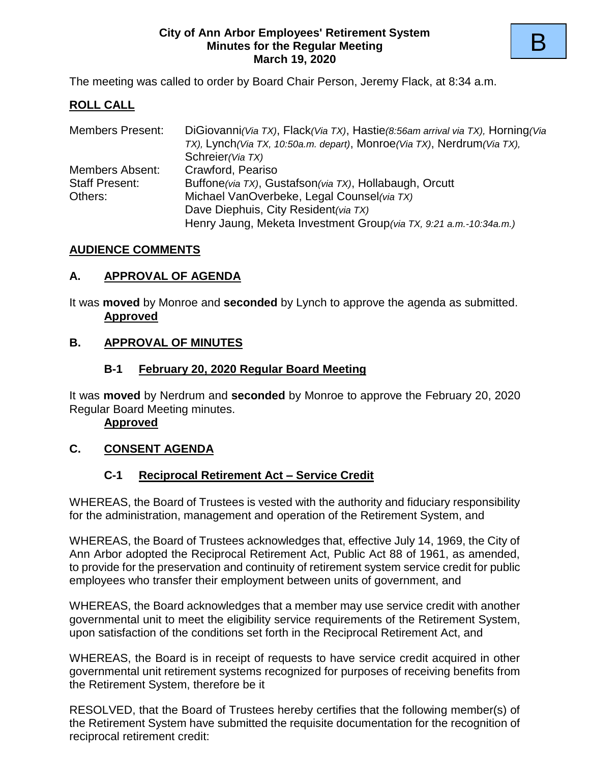#### **City of Ann Arbor Employees' Retirement System Minutes for the Regular Meeting March 19, 2020**

The meeting was called to order by Board Chair Person, Jeremy Flack, at 8:34 a.m.

## **ROLL CALL**

| <b>Members Present:</b> | DiGiovanni (Via TX), Flack (Via TX), Hastie (8:56am arrival via TX), Horning (Via |
|-------------------------|-----------------------------------------------------------------------------------|
|                         | TX), Lynch (Via TX, 10:50a.m. depart), Monroe (Via TX), Nerdrum (Via TX),         |
|                         | Schreier (Via TX)                                                                 |
| Members Absent:         | Crawford, Peariso                                                                 |
| <b>Staff Present:</b>   | Buffone(via TX), Gustafson(via TX), Hollabaugh, Orcutt                            |
| Others:                 | Michael VanOverbeke, Legal Counsel (via TX)                                       |
|                         | Dave Diephuis, City Resident (via TX)                                             |
|                         | Henry Jaung, Meketa Investment Group (via TX, 9:21 a.m.-10:34a.m.)                |

### **AUDIENCE COMMENTS**

### **A. APPROVAL OF AGENDA**

It was **moved** by Monroe and **seconded** by Lynch to approve the agenda as submitted. **Approved**

## **B. APPROVAL OF MINUTES**

### **B-1 February 20, 2020 Regular Board Meeting**

It was **moved** by Nerdrum and **seconded** by Monroe to approve the February 20, 2020 Regular Board Meeting minutes.

#### **Approved**

## **C. CONSENT AGENDA**

## **C-1 Reciprocal Retirement Act – Service Credit**

WHEREAS, the Board of Trustees is vested with the authority and fiduciary responsibility for the administration, management and operation of the Retirement System, and

WHEREAS, the Board of Trustees acknowledges that, effective July 14, 1969, the City of Ann Arbor adopted the Reciprocal Retirement Act, Public Act 88 of 1961, as amended, to provide for the preservation and continuity of retirement system service credit for public employees who transfer their employment between units of government, and

WHEREAS, the Board acknowledges that a member may use service credit with another governmental unit to meet the eligibility service requirements of the Retirement System, upon satisfaction of the conditions set forth in the Reciprocal Retirement Act, and

WHEREAS, the Board is in receipt of requests to have service credit acquired in other governmental unit retirement systems recognized for purposes of receiving benefits from the Retirement System, therefore be it

RESOLVED, that the Board of Trustees hereby certifies that the following member(s) of the Retirement System have submitted the requisite documentation for the recognition of reciprocal retirement credit: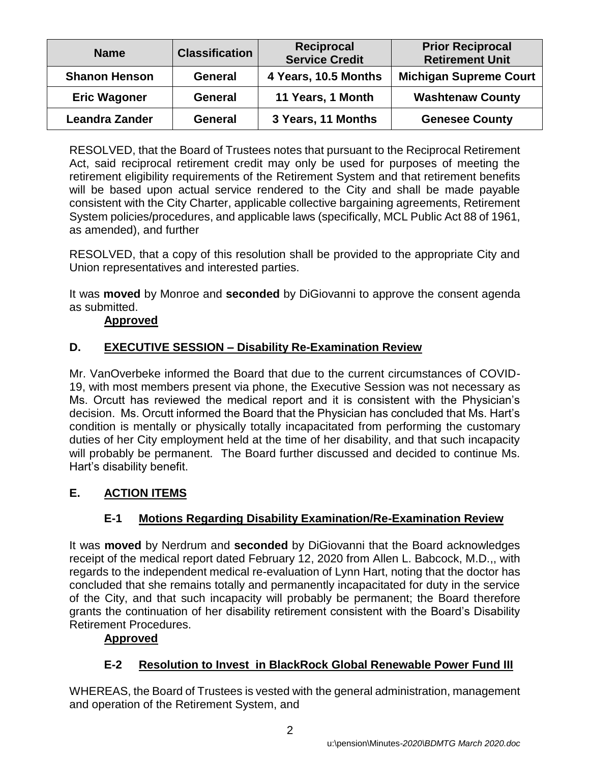| <b>Name</b>           | <b>Classification</b> | Reciprocal<br><b>Service Credit</b> | <b>Prior Reciprocal</b><br><b>Retirement Unit</b> |
|-----------------------|-----------------------|-------------------------------------|---------------------------------------------------|
| <b>Shanon Henson</b>  | <b>General</b>        | 4 Years, 10.5 Months                | <b>Michigan Supreme Court</b>                     |
| <b>Eric Wagoner</b>   | General               | 11 Years, 1 Month                   | <b>Washtenaw County</b>                           |
| <b>Leandra Zander</b> | General               | 3 Years, 11 Months                  | <b>Genesee County</b>                             |

RESOLVED, that the Board of Trustees notes that pursuant to the Reciprocal Retirement Act, said reciprocal retirement credit may only be used for purposes of meeting the retirement eligibility requirements of the Retirement System and that retirement benefits will be based upon actual service rendered to the City and shall be made payable consistent with the City Charter, applicable collective bargaining agreements, Retirement System policies/procedures, and applicable laws (specifically, MCL Public Act 88 of 1961, as amended), and further

RESOLVED, that a copy of this resolution shall be provided to the appropriate City and Union representatives and interested parties.

It was **moved** by Monroe and **seconded** by DiGiovanni to approve the consent agenda as submitted.

## **Approved**

## **D. EXECUTIVE SESSION – Disability Re-Examination Review**

Mr. VanOverbeke informed the Board that due to the current circumstances of COVID-19, with most members present via phone, the Executive Session was not necessary as Ms. Orcutt has reviewed the medical report and it is consistent with the Physician's decision. Ms. Orcutt informed the Board that the Physician has concluded that Ms. Hart's condition is mentally or physically totally incapacitated from performing the customary duties of her City employment held at the time of her disability, and that such incapacity will probably be permanent. The Board further discussed and decided to continue Ms. Hart's disability benefit.

## **E. ACTION ITEMS**

## **E-1 Motions Regarding Disability Examination/Re-Examination Review**

It was **moved** by Nerdrum and **seconded** by DiGiovanni that the Board acknowledges receipt of the medical report dated February 12, 2020 from Allen L. Babcock, M.D.,, with regards to the independent medical re-evaluation of Lynn Hart, noting that the doctor has concluded that she remains totally and permanently incapacitated for duty in the service of the City, and that such incapacity will probably be permanent; the Board therefore grants the continuation of her disability retirement consistent with the Board's Disability Retirement Procedures.

## **Approved**

## **E-2 Resolution to Invest in BlackRock Global Renewable Power Fund III**

WHEREAS, the Board of Trustees is vested with the general administration, management and operation of the Retirement System, and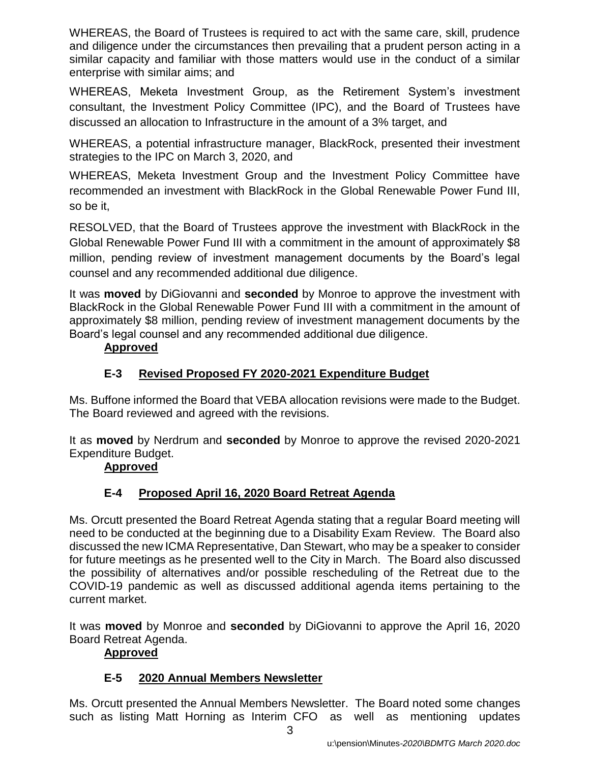WHEREAS, the Board of Trustees is required to act with the same care, skill, prudence and diligence under the circumstances then prevailing that a prudent person acting in a similar capacity and familiar with those matters would use in the conduct of a similar enterprise with similar aims; and

WHEREAS, Meketa Investment Group, as the Retirement System's investment consultant, the Investment Policy Committee (IPC), and the Board of Trustees have discussed an allocation to Infrastructure in the amount of a 3% target, and

WHEREAS, a potential infrastructure manager, BlackRock, presented their investment strategies to the IPC on March 3, 2020, and

WHEREAS, Meketa Investment Group and the Investment Policy Committee have recommended an investment with BlackRock in the Global Renewable Power Fund III, so be it,

RESOLVED, that the Board of Trustees approve the investment with BlackRock in the Global Renewable Power Fund III with a commitment in the amount of approximately \$8 million, pending review of investment management documents by the Board's legal counsel and any recommended additional due diligence.

It was **moved** by DiGiovanni and **seconded** by Monroe to approve the investment with BlackRock in the Global Renewable Power Fund III with a commitment in the amount of approximately \$8 million, pending review of investment management documents by the Board's legal counsel and any recommended additional due diligence.

## **Approved**

# **E-3 Revised Proposed FY 2020-2021 Expenditure Budget**

Ms. Buffone informed the Board that VEBA allocation revisions were made to the Budget. The Board reviewed and agreed with the revisions.

It as **moved** by Nerdrum and **seconded** by Monroe to approve the revised 2020-2021 Expenditure Budget.

## **Approved**

## **E-4 Proposed April 16, 2020 Board Retreat Agenda**

Ms. Orcutt presented the Board Retreat Agenda stating that a regular Board meeting will need to be conducted at the beginning due to a Disability Exam Review. The Board also discussed the new ICMA Representative, Dan Stewart, who may be a speaker to consider for future meetings as he presented well to the City in March. The Board also discussed the possibility of alternatives and/or possible rescheduling of the Retreat due to the COVID-19 pandemic as well as discussed additional agenda items pertaining to the current market.

It was **moved** by Monroe and **seconded** by DiGiovanni to approve the April 16, 2020 Board Retreat Agenda.

## **Approved**

## **E-5 2020 Annual Members Newsletter**

Ms. Orcutt presented the Annual Members Newsletter. The Board noted some changes such as listing Matt Horning as Interim CFO as well as mentioning updates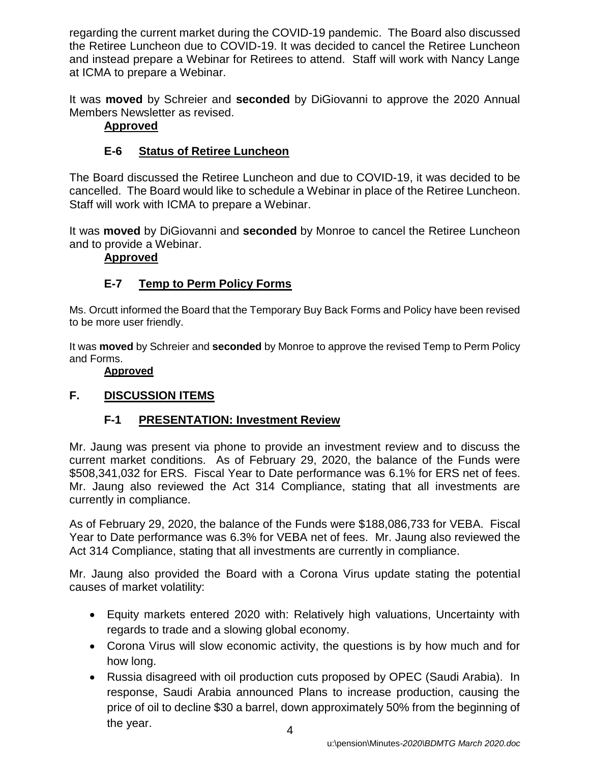regarding the current market during the COVID-19 pandemic. The Board also discussed the Retiree Luncheon due to COVID-19. It was decided to cancel the Retiree Luncheon and instead prepare a Webinar for Retirees to attend. Staff will work with Nancy Lange at ICMA to prepare a Webinar.

It was **moved** by Schreier and **seconded** by DiGiovanni to approve the 2020 Annual Members Newsletter as revised.

## **Approved**

# **E-6 Status of Retiree Luncheon**

The Board discussed the Retiree Luncheon and due to COVID-19, it was decided to be cancelled. The Board would like to schedule a Webinar in place of the Retiree Luncheon. Staff will work with ICMA to prepare a Webinar.

It was **moved** by DiGiovanni and **seconded** by Monroe to cancel the Retiree Luncheon and to provide a Webinar.

## **Approved**

# **E-7 Temp to Perm Policy Forms**

Ms. Orcutt informed the Board that the Temporary Buy Back Forms and Policy have been revised to be more user friendly.

It was **moved** by Schreier and **seconded** by Monroe to approve the revised Temp to Perm Policy and Forms.

## **Approved**

## **F. DISCUSSION ITEMS**

## **F-1 PRESENTATION: Investment Review**

Mr. Jaung was present via phone to provide an investment review and to discuss the current market conditions. As of February 29, 2020, the balance of the Funds were \$508,341,032 for ERS. Fiscal Year to Date performance was 6.1% for ERS net of fees. Mr. Jaung also reviewed the Act 314 Compliance, stating that all investments are currently in compliance.

As of February 29, 2020, the balance of the Funds were \$188,086,733 for VEBA. Fiscal Year to Date performance was 6.3% for VEBA net of fees. Mr. Jaung also reviewed the Act 314 Compliance, stating that all investments are currently in compliance.

Mr. Jaung also provided the Board with a Corona Virus update stating the potential causes of market volatility:

- Equity markets entered 2020 with: Relatively high valuations, Uncertainty with regards to trade and a slowing global economy.
- Corona Virus will slow economic activity, the questions is by how much and for how long.
- 4 • Russia disagreed with oil production cuts proposed by OPEC (Saudi Arabia). In response, Saudi Arabia announced Plans to increase production, causing the price of oil to decline \$30 a barrel, down approximately 50% from the beginning of the year.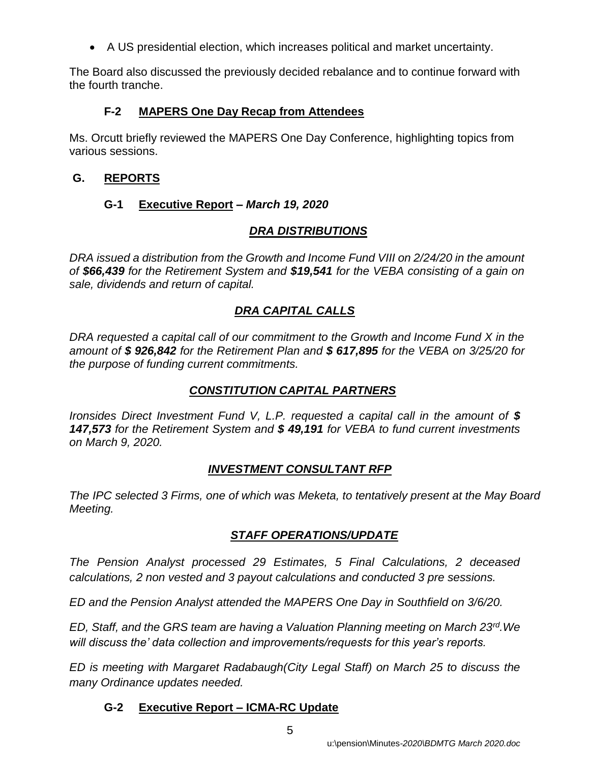• A US presidential election, which increases political and market uncertainty.

The Board also discussed the previously decided rebalance and to continue forward with the fourth tranche.

## **F-2 MAPERS One Day Recap from Attendees**

Ms. Orcutt briefly reviewed the MAPERS One Day Conference, highlighting topics from various sessions.

## **G. REPORTS**

# **G-1 Executive Report** *– March 19, 2020*

# *DRA DISTRIBUTIONS*

*DRA issued a distribution from the Growth and Income Fund VIII on 2/24/20 in the amount of \$66,439 for the Retirement System and \$19,541 for the VEBA consisting of a gain on sale, dividends and return of capital.* 

# *DRA CAPITAL CALLS*

*DRA requested a capital call of our commitment to the Growth and Income Fund X in the amount of \$ 926,842 for the Retirement Plan and \$ 617,895 for the VEBA on 3/25/20 for the purpose of funding current commitments.*

## *CONSTITUTION CAPITAL PARTNERS*

*Ironsides Direct Investment Fund V, L.P. requested a capital call in the amount of \$ 147,573 for the Retirement System and \$ 49,191 for VEBA to fund current investments on March 9, 2020.*

## *INVESTMENT CONSULTANT RFP*

*The IPC selected 3 Firms, one of which was Meketa, to tentatively present at the May Board Meeting.* 

## *STAFF OPERATIONS/UPDATE*

*The Pension Analyst processed 29 Estimates, 5 Final Calculations, 2 deceased calculations, 2 non vested and 3 payout calculations and conducted 3 pre sessions.* 

*ED and the Pension Analyst attended the MAPERS One Day in Southfield on 3/6/20.*

*ED, Staff, and the GRS team are having a Valuation Planning meeting on March 23rd.We will discuss the' data collection and improvements/requests for this year's reports.*

*ED is meeting with Margaret Radabaugh(City Legal Staff) on March 25 to discuss the many Ordinance updates needed.* 

## **G-2 Executive Report – ICMA-RC Update**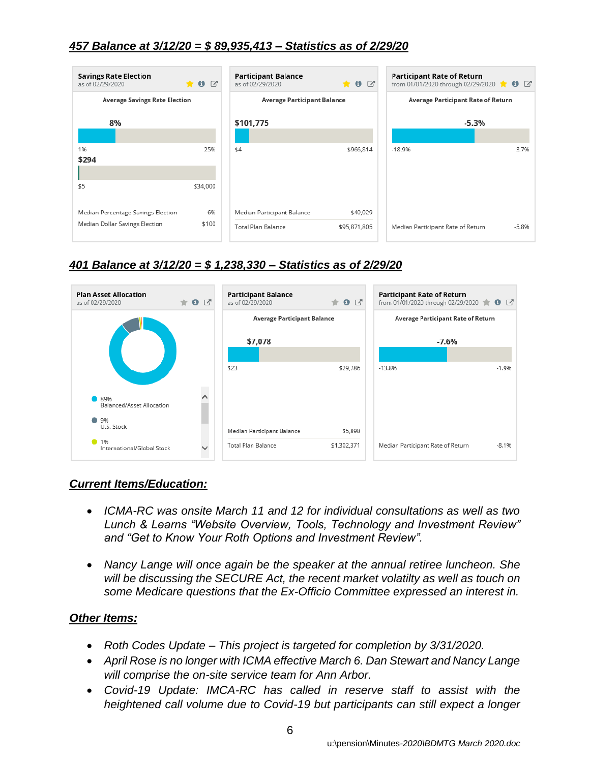## *457 Balance at 3/12/20 = \$ 89,935,413 – Statistics as of 2/29/20*



### *401 Balance at 3/12/20 = \$ 1,238,330 – Statistics as of 2/29/20*



#### *Current Items/Education:*

- *ICMA-RC was onsite March 11 and 12 for individual consultations as well as two Lunch & Learns "Website Overview, Tools, Technology and Investment Review" and "Get to Know Your Roth Options and Investment Review".*
- *Nancy Lange will once again be the speaker at the annual retiree luncheon. She will be discussing the SECURE Act, the recent market volatilty as well as touch on some Medicare questions that the Ex-Officio Committee expressed an interest in.*

#### *Other Items:*

- *Roth Codes Update – This project is targeted for completion by 3/31/2020.*
- *April Rose is no longer with ICMA effective March 6. Dan Stewart and Nancy Lange will comprise the on-site service team for Ann Arbor.*
- *Covid-19 Update: IMCA-RC has called in reserve staff to assist with the heightened call volume due to Covid-19 but participants can still expect a longer*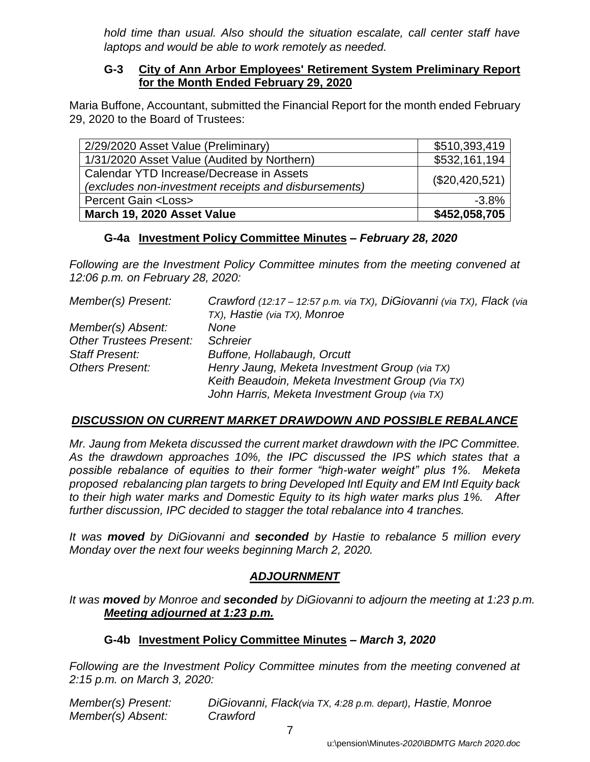*hold time than usual. Also should the situation escalate, call center staff have laptops and would be able to work remotely as needed.* 

### **G-3 City of Ann Arbor Employees' Retirement System Preliminary Report for the Month Ended February 29, 2020**

Maria Buffone, Accountant, submitted the Financial Report for the month ended February 29, 2020 to the Board of Trustees:

| 2/29/2020 Asset Value (Preliminary)                                                              | \$510,393,419  |
|--------------------------------------------------------------------------------------------------|----------------|
| 1/31/2020 Asset Value (Audited by Northern)                                                      | \$532,161,194  |
| Calendar YTD Increase/Decrease in Assets<br>(excludes non-investment receipts and disbursements) | (\$20,420,521) |
| <b>Percent Gain <loss></loss></b>                                                                | $-3.8%$        |
| March 19, 2020 Asset Value                                                                       | \$452,058,705  |

## **G-4a Investment Policy Committee Minutes –** *February 28, 2020*

*Following are the Investment Policy Committee minutes from the meeting convened at 12:06 p.m. on February 28, 2020:*

| Member(s) Present:             | Crawford (12:17 – 12:57 p.m. via TX), DiGiovanni (via TX), Flack (via |
|--------------------------------|-----------------------------------------------------------------------|
|                                | TX), Hastie (via TX), Monroe                                          |
| Member(s) Absent:              | None                                                                  |
| <b>Other Trustees Present:</b> | <b>Schreier</b>                                                       |
| <b>Staff Present:</b>          | Buffone, Hollabaugh, Orcutt                                           |
| <b>Others Present:</b>         | Henry Jaung, Meketa Investment Group (via TX)                         |
|                                | Keith Beaudoin, Meketa Investment Group (Via TX)                      |
|                                | John Harris, Meketa Investment Group (via TX)                         |

## *DISCUSSION ON CURRENT MARKET DRAWDOWN AND POSSIBLE REBALANCE*

*Mr. Jaung from Meketa discussed the current market drawdown with the IPC Committee. As the drawdown approaches 10%, the IPC discussed the IPS which states that a possible rebalance of equities to their former "high-water weight" plus 1%. Meketa proposed rebalancing plan targets to bring Developed Intl Equity and EM Intl Equity back to their high water marks and Domestic Equity to its high water marks plus 1%. After further discussion, IPC decided to stagger the total rebalance into 4 tranches.*

*It was moved by DiGiovanni and seconded by Hastie to rebalance 5 million every Monday over the next four weeks beginning March 2, 2020.*

## *ADJOURNMENT*

*It was moved by Monroe and seconded by DiGiovanni to adjourn the meeting at 1:23 p.m. Meeting adjourned at 1:23 p.m.*

## **G-4b Investment Policy Committee Minutes –** *March 3, 2020*

*Following are the Investment Policy Committee minutes from the meeting convened at 2:15 p.m. on March 3, 2020:*

| Member(s) Present: | DiGiovanni, Flack(via TX, 4:28 p.m. depart), Hastie, Monroe |
|--------------------|-------------------------------------------------------------|
| Member(s) Absent:  | Crawford                                                    |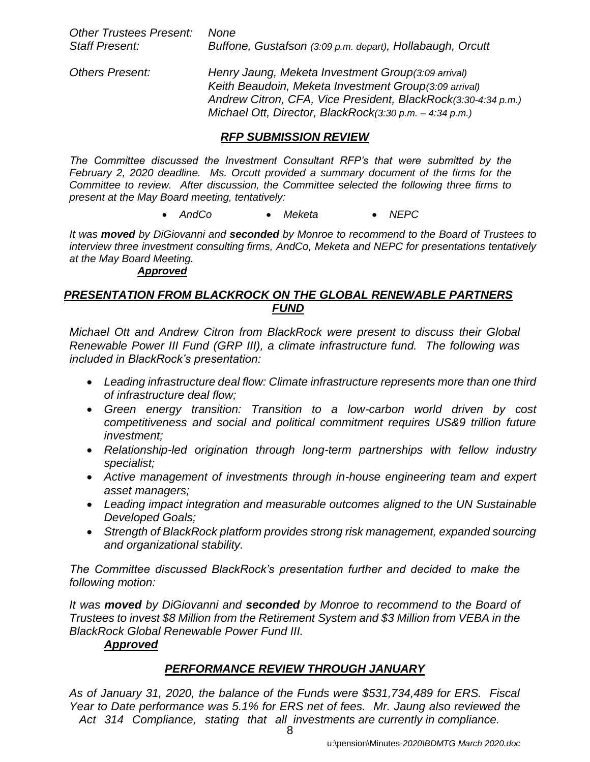| Other Trustees Present: None |                                                           |
|------------------------------|-----------------------------------------------------------|
| <b>Staff Present:</b>        | Buffone, Gustafson (3:09 p.m. depart), Hollabaugh, Orcutt |

*Others Present: Henry Jaung, Meketa Investment Group(3:09 arrival) Keith Beaudoin, Meketa Investment Group(3:09 arrival) Andrew Citron, CFA, Vice President, BlackRock(3:30-4:34 p.m.) Michael Ott, Director, BlackRock(3:30 p.m. – 4:34 p.m.)*

## *RFP SUBMISSION REVIEW*

*The Committee discussed the Investment Consultant RFP's that were submitted by the February 2, 2020 deadline. Ms. Orcutt provided a summary document of the firms for the Committee to review. After discussion, the Committee selected the following three firms to present at the May Board meeting, tentatively:*

• *AndCo* • *Meketa* • *NEPC*

*It was moved by DiGiovanni and seconded by Monroe to recommend to the Board of Trustees to interview three investment consulting firms, AndCo, Meketa and NEPC for presentations tentatively at the May Board Meeting.*

#### *Approved*

### *PRESENTATION FROM BLACKROCK ON THE GLOBAL RENEWABLE PARTNERS FUND*

*Michael Ott and Andrew Citron from BlackRock were present to discuss their Global Renewable Power III Fund (GRP III), a climate infrastructure fund. The following was included in BlackRock's presentation:*

- *Leading infrastructure deal flow: Climate infrastructure represents more than one third of infrastructure deal flow;*
- *Green energy transition: Transition to a low-carbon world driven by cost competitiveness and social and political commitment requires US&9 trillion future investment;*
- *Relationship-led origination through long-term partnerships with fellow industry specialist;*
- *Active management of investments through in-house engineering team and expert asset managers;*
- *Leading impact integration and measurable outcomes aligned to the UN Sustainable Developed Goals;*
- *Strength of BlackRock platform provides strong risk management, expanded sourcing and organizational stability.*

*The Committee discussed BlackRock's presentation further and decided to make the following motion:*

*It was moved by DiGiovanni and seconded by Monroe to recommend to the Board of Trustees to invest \$8 Million from the Retirement System and \$3 Million from VEBA in the BlackRock Global Renewable Power Fund III.*

#### *Approved*

## *PERFORMANCE REVIEW THROUGH JANUARY*

*As of January 31, 2020, the balance of the Funds were \$531,734,489 for ERS. Fiscal Year to Date performance was 5.1% for ERS net of fees. Mr. Jaung also reviewed the Act 314 Compliance, stating that all investments are currently in compliance.*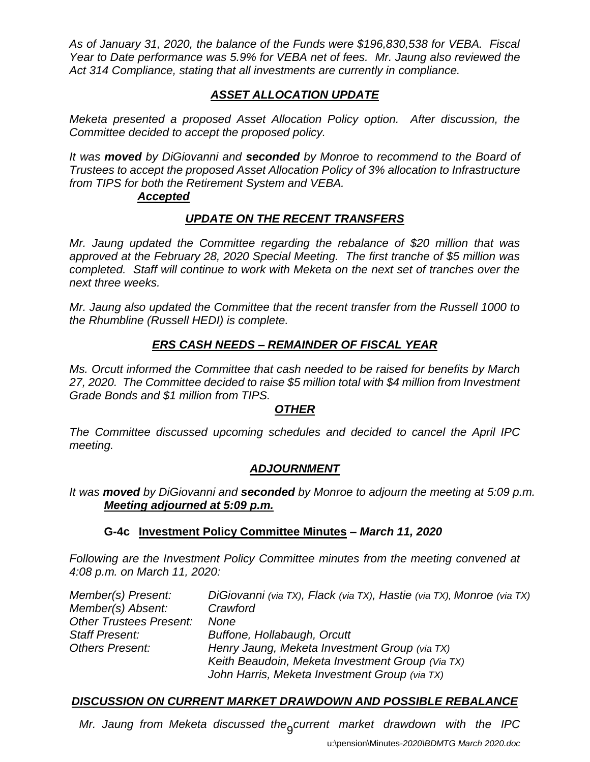*As of January 31, 2020, the balance of the Funds were \$196,830,538 for VEBA. Fiscal Year to Date performance was 5.9% for VEBA net of fees. Mr. Jaung also reviewed the Act 314 Compliance, stating that all investments are currently in compliance.*

## *ASSET ALLOCATION UPDATE*

*Meketa presented a proposed Asset Allocation Policy option. After discussion, the Committee decided to accept the proposed policy.*

*It was moved by DiGiovanni and seconded by Monroe to recommend to the Board of Trustees to accept the proposed Asset Allocation Policy of 3% allocation to Infrastructure from TIPS for both the Retirement System and VEBA.*

### *Accepted*

## *UPDATE ON THE RECENT TRANSFERS*

*Mr. Jaung updated the Committee regarding the rebalance of \$20 million that was approved at the February 28, 2020 Special Meeting. The first tranche of \$5 million was completed. Staff will continue to work with Meketa on the next set of tranches over the next three weeks.*

*Mr. Jaung also updated the Committee that the recent transfer from the Russell 1000 to the Rhumbline (Russell HEDI) is complete.*

## *ERS CASH NEEDS – REMAINDER OF FISCAL YEAR*

*Ms. Orcutt informed the Committee that cash needed to be raised for benefits by March 27, 2020. The Committee decided to raise \$5 million total with \$4 million from Investment Grade Bonds and \$1 million from TIPS.* 

## *OTHER*

*The Committee discussed upcoming schedules and decided to cancel the April IPC meeting.*

## *ADJOURNMENT*

*It was moved by DiGiovanni and seconded by Monroe to adjourn the meeting at 5:09 p.m. Meeting adjourned at 5:09 p.m.*

## **G-4c Investment Policy Committee Minutes –** *March 11, 2020*

*Following are the Investment Policy Committee minutes from the meeting convened at 4:08 p.m. on March 11, 2020:*

| Member(s) Present:             | DiGiovanni (via TX), Flack (via TX), Hastie (via TX), Monroe (via TX) |
|--------------------------------|-----------------------------------------------------------------------|
| Member(s) Absent:              | Crawford                                                              |
| <b>Other Trustees Present:</b> | <b>None</b>                                                           |
| <b>Staff Present:</b>          | Buffone, Hollabaugh, Orcutt                                           |
| <b>Others Present:</b>         | Henry Jaung, Meketa Investment Group (via TX)                         |
|                                | Keith Beaudoin, Meketa Investment Group (Via TX)                      |
|                                | John Harris, Meketa Investment Group (via TX)                         |

# *DISCUSSION ON CURRENT MARKET DRAWDOWN AND POSSIBLE REBALANCE*

Mr. Jaung from Meketa discussed the<sub>g</sub>current market drawdown with the IPC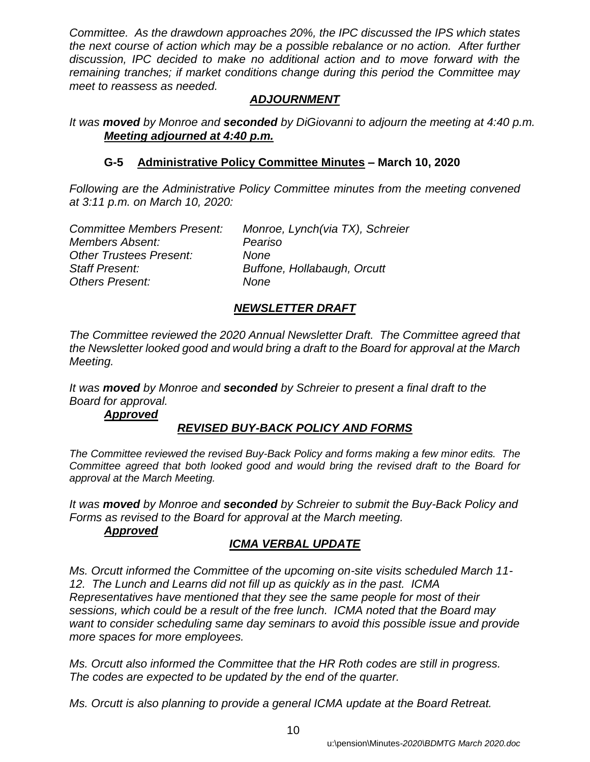*Committee. As the drawdown approaches 20%, the IPC discussed the IPS which states the next course of action which may be a possible rebalance or no action. After further discussion, IPC decided to make no additional action and to move forward with the remaining tranches; if market conditions change during this period the Committee may meet to reassess as needed.*

## *ADJOURNMENT*

*It was moved by Monroe and seconded by DiGiovanni to adjourn the meeting at 4:40 p.m. Meeting adjourned at 4:40 p.m.*

## **G-5 Administrative Policy Committee Minutes** *–* **March 10, 2020**

*Following are the Administrative Policy Committee minutes from the meeting convened at 3:11 p.m. on March 10, 2020:*

| Monroe, Lynch(via TX), Schreier |
|---------------------------------|
| Peariso                         |
| None                            |
| Buffone, Hollabaugh, Orcutt     |
| None                            |
|                                 |

## *NEWSLETTER DRAFT*

*The Committee reviewed the 2020 Annual Newsletter Draft. The Committee agreed that the Newsletter looked good and would bring a draft to the Board for approval at the March Meeting.* 

*It was moved by Monroe and seconded by Schreier to present a final draft to the Board for approval.*

## *Approved*

## *REVISED BUY-BACK POLICY AND FORMS*

*The Committee reviewed the revised Buy-Back Policy and forms making a few minor edits. The Committee agreed that both looked good and would bring the revised draft to the Board for approval at the March Meeting.* 

*It was moved by Monroe and seconded by Schreier to submit the Buy-Back Policy and Forms as revised to the Board for approval at the March meeting.*

## *Approved*

# *ICMA VERBAL UPDATE*

*Ms. Orcutt informed the Committee of the upcoming on-site visits scheduled March 11- 12. The Lunch and Learns did not fill up as quickly as in the past. ICMA Representatives have mentioned that they see the same people for most of their sessions, which could be a result of the free lunch. ICMA noted that the Board may want to consider scheduling same day seminars to avoid this possible issue and provide more spaces for more employees.* 

*Ms. Orcutt also informed the Committee that the HR Roth codes are still in progress. The codes are expected to be updated by the end of the quarter.*

*Ms. Orcutt is also planning to provide a general ICMA update at the Board Retreat.*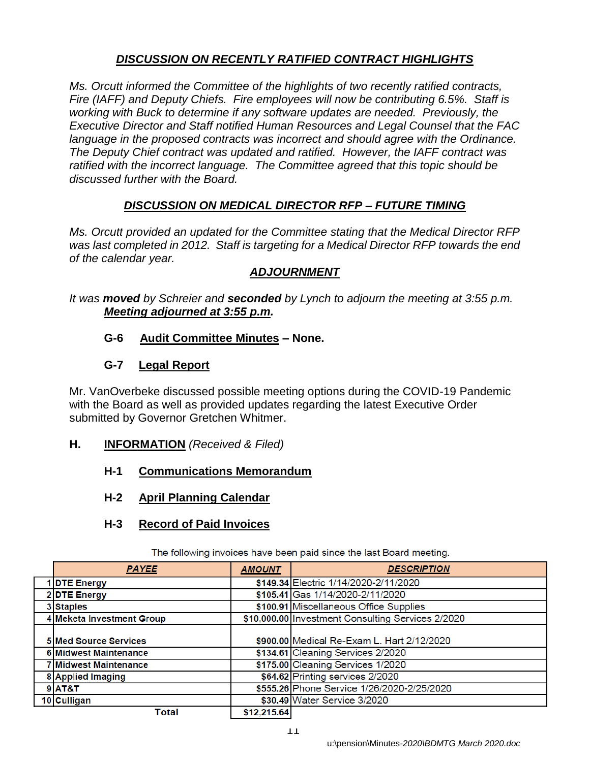## *DISCUSSION ON RECENTLY RATIFIED CONTRACT HIGHLIGHTS*

*Ms. Orcutt informed the Committee of the highlights of two recently ratified contracts, Fire (IAFF) and Deputy Chiefs. Fire employees will now be contributing 6.5%. Staff is working with Buck to determine if any software updates are needed. Previously, the Executive Director and Staff notified Human Resources and Legal Counsel that the FAC language in the proposed contracts was incorrect and should agree with the Ordinance. The Deputy Chief contract was updated and ratified. However, the IAFF contract was ratified with the incorrect language. The Committee agreed that this topic should be discussed further with the Board.*

## *DISCUSSION ON MEDICAL DIRECTOR RFP – FUTURE TIMING*

*Ms. Orcutt provided an updated for the Committee stating that the Medical Director RFP was last completed in 2012. Staff is targeting for a Medical Director RFP towards the end of the calendar year.*

## *ADJOURNMENT*

*It was moved by Schreier and seconded by Lynch to adjourn the meeting at 3:55 p.m. Meeting adjourned at 3:55 p.m.*

### **G-6 Audit Committee Minutes – None.**

### **G-7 Legal Report**

Mr. VanOverbeke discussed possible meeting options during the COVID-19 Pandemic with the Board as well as provided updates regarding the latest Executive Order submitted by Governor Gretchen Whitmer.

- **H. INFORMATION** *(Received & Filed)*
	- **H-1 Communications Memorandum**
	- **H-2 April Planning Calendar**

#### **H-3 Record of Paid Invoices**

| <b>PAYEE</b>                 | <b>AMOUNT</b> | <b>DESCRIPTION</b>                                |
|------------------------------|---------------|---------------------------------------------------|
| 1 DTE Energy                 |               | \$149.34 Electric 1/14/2020-2/11/2020             |
| 2DTE Energy                  |               | \$105.41 Gas 1/14/2020-2/11/2020                  |
| 3 Staples                    |               | \$100.91 Miscellaneous Office Supplies            |
| 4 Meketa Investment Group    |               | \$10,000.00 Investment Consulting Services 2/2020 |
| 5 Med Source Services        |               | \$900.00 Medical Re-Exam L. Hart 2/12/2020        |
| <b>6 Midwest Maintenance</b> |               | \$134.61 Cleaning Services 2/2020                 |
| 7 Midwest Maintenance        |               | \$175.00 Cleaning Services 1/2020                 |
| 8 Applied Imaging            |               | \$64.62 Printing services 2/2020                  |
| 9 AT&T                       |               | \$555.26 Phone Service 1/26/2020-2/25/2020        |
| 10 Culligan                  |               | \$30.49 Water Service 3/2020                      |
| Total                        | \$12,215.64   |                                                   |

The following invoices have been paid since the last Board meeting.